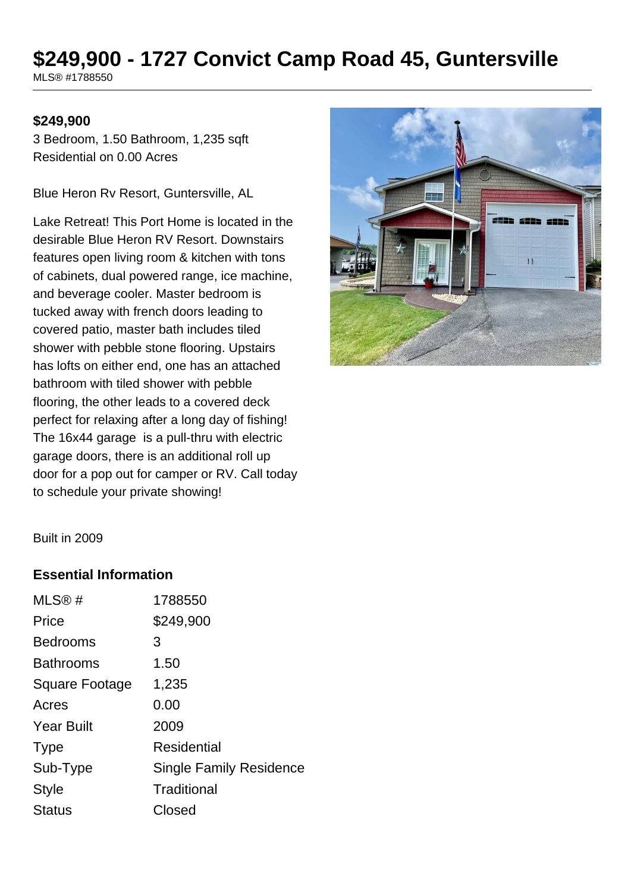# **\$249,900 - 1727 Convict Camp Road 45, Guntersville**

MLS® #1788550

#### **\$249,900**

3 Bedroom, 1.50 Bathroom, 1,235 sqft Residential on 0.00 Acres

Blue Heron Rv Resort, Guntersville, AL

Lake Retreat! This Port Home is located in the desirable Blue Heron RV Resort. Downstairs features open living room & kitchen with tons of cabinets, dual powered range, ice machine, and beverage cooler. Master bedroom is tucked away with french doors leading to covered patio, master bath includes tiled shower with pebble stone flooring. Upstairs has lofts on either end, one has an attached bathroom with tiled shower with pebble flooring, the other leads to a covered deck perfect for relaxing after a long day of fishing! The 16x44 garage is a pull-thru with electric garage doors, there is an additional roll up door for a pop out for camper or RV. Call today to schedule your private showing!



Built in 2009

#### **Essential Information**

| MLS®#                 | 1788550                        |
|-----------------------|--------------------------------|
| Price                 | \$249,900                      |
| <b>Bedrooms</b>       | 3                              |
| <b>Bathrooms</b>      | 1.50                           |
| <b>Square Footage</b> | 1,235                          |
| Acres                 | 0.00                           |
| <b>Year Built</b>     | 2009                           |
| <b>Type</b>           | Residential                    |
| Sub-Type              | <b>Single Family Residence</b> |
| <b>Style</b>          | Traditional                    |
| Status                | Closed                         |